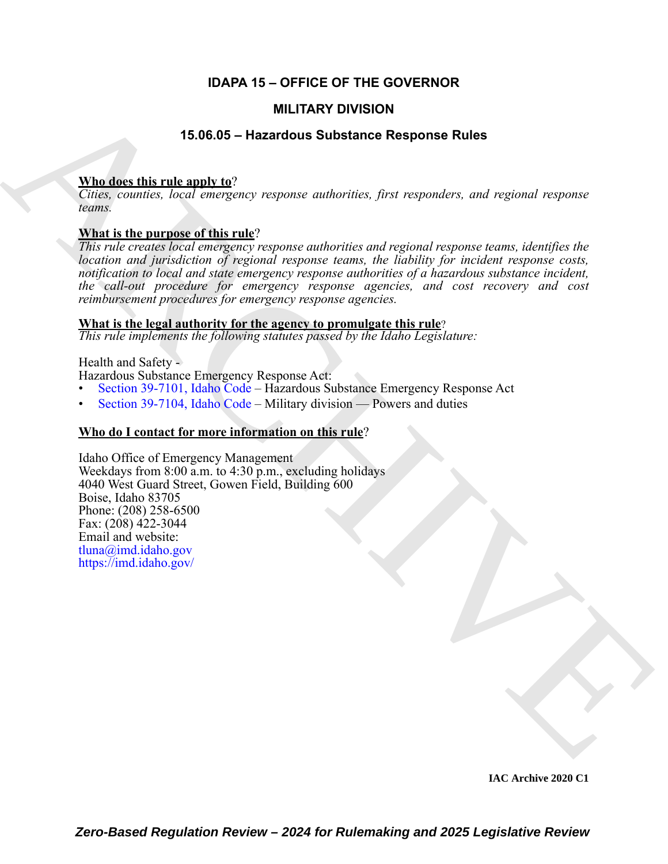# **IDAPA 15 – OFFICE OF THE GOVERNOR**

# **MILITARY DIVISION**

# **15.06.05 – Hazardous Substance Response Rules**

# **Who does this rule apply to**?

*Cities, counties, local emergency response authorities, first responders, and regional response teams.* 

# **What is the purpose of this rule**?

*This rule creates local emergency response authorities and regional response teams, identifies the location and jurisdiction of regional response teams, the liability for incident response costs, notification to local and state emergency response authorities of a hazardous substance incident, the call-out procedure for emergency response agencies, and cost recovery and cost reimbursement procedures for emergency response agencies.*

### **What is the legal authority for the agency to promulgate this rule**?

*This rule implements the following statutes passed by the Idaho Legislature:*

Health and Safety -

Hazardous Substance Emergency Response Act:

- Section 39-7101, Idaho Code Hazardous Substance Emergency Response Act
- Section 39-7104, Idaho Code Military division Powers and duties

# **Who do I contact for more information on this rule**?

**IMILITARY DIVISION<br>
15.06.05 - Hazardous Substance Response Rules<br>
What detective rules and various subscriber.** First responder, and regional response<br>
Visual is the purpose of this rate?<br>
This relation complete the pur Idaho Office of Emergency Management Weekdays from 8:00 a.m. to 4:30 p.m., excluding holidays 4040 West Guard Street, Gowen Field, Building 600 Boise, Idaho 83705 Phone: (208) 258-6500 Fax:  $(208)$  422-3044 Email and website: tluna@imd.idaho.gov https://imd.idaho.gov/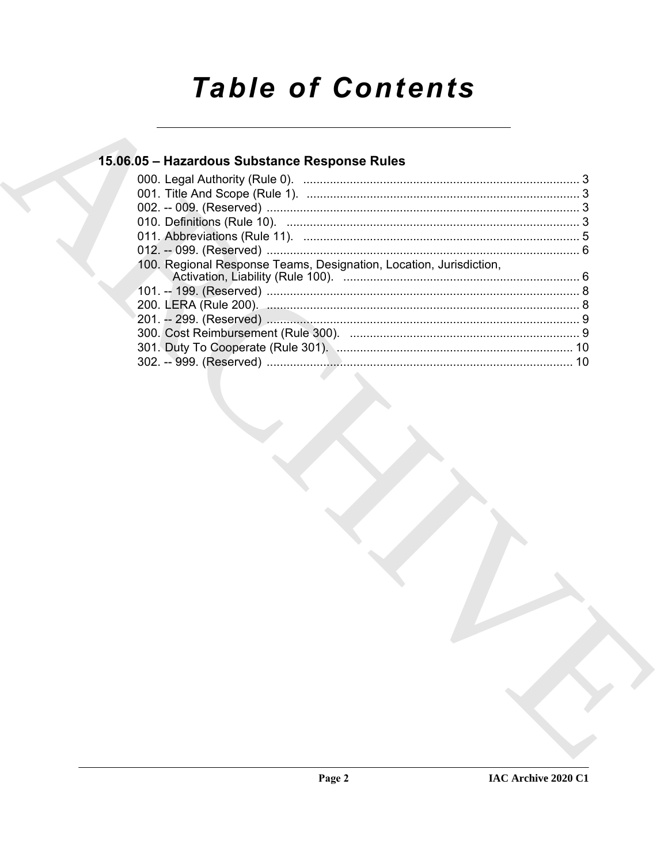# **Table of Contents**

# 15.06.05 - Hazardous Substance Response Rules

| 100. Regional Response Teams, Designation, Location, Jurisdiction, |  |
|--------------------------------------------------------------------|--|
|                                                                    |  |
|                                                                    |  |
|                                                                    |  |
|                                                                    |  |
|                                                                    |  |
|                                                                    |  |
|                                                                    |  |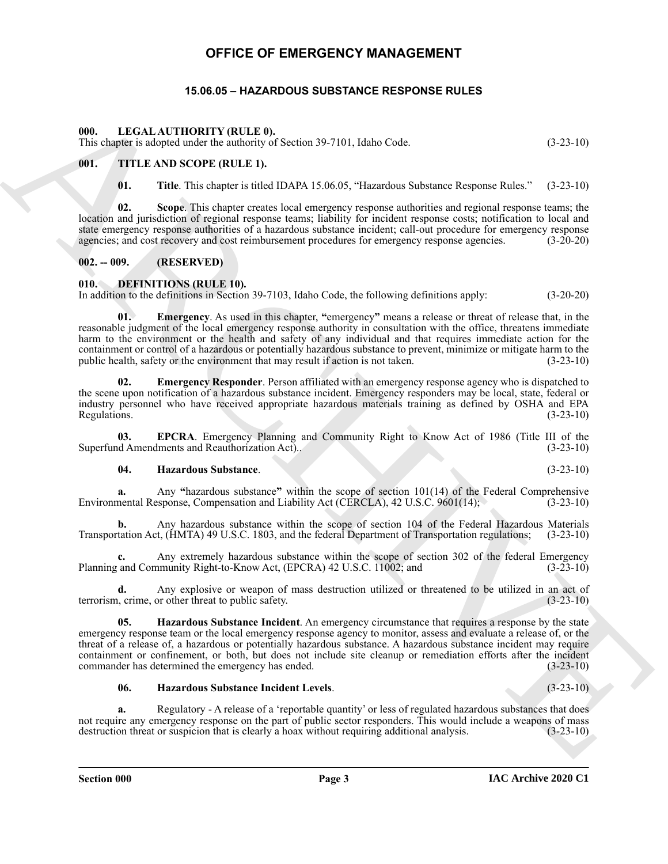# **OFFICE OF EMERGENCY MANAGEMENT**

## **15.06.05 – HAZARDOUS SUBSTANCE RESPONSE RULES**

#### <span id="page-2-12"></span><span id="page-2-1"></span><span id="page-2-0"></span>**000. LEGAL AUTHORITY (RULE 0).**

This chapter is adopted under the authority of Section 39-7101, Idaho Code. (3-23-10)

#### <span id="page-2-2"></span>**001. TITLE AND SCOPE (RULE 1).**

<span id="page-2-13"></span>**01. Title**. This chapter is titled IDAPA 15.06.05, "Hazardous Substance Response Rules." (3-23-10)

**02. Scope**. This chapter creates local emergency response authorities and regional response teams; the location and jurisdiction of regional response teams; liability for incident response costs; notification to local and state emergency response authorities of a hazardous substance incident; call-out procedure for emergency response agencies; and cost recovery and cost reimbursement procedures for emergency response agencies. (3-20-20)

#### <span id="page-2-3"></span>**002. -- 009. (RESERVED)**

#### <span id="page-2-5"></span><span id="page-2-4"></span>**010. DEFINITIONS (RULE 10).**

<span id="page-2-6"></span>In addition to the definitions in Section 39-7103, Idaho Code, the following definitions apply: (3-20-20)

69. LEGAL AUTHOMITY (RULE, P). (32-10)<br>
This cape of the state and the state and the state and the state and the state and the state and the state and the state and the state and the state and the state and the state and **01. Emergency**. As used in this chapter, **"**emergency**"** means a release or threat of release that, in the reasonable judgment of the local emergency response authority in consultation with the office, threatens immediate harm to the environment or the health and safety of any individual and that requires immediate action for the containment or control of a hazardous or potentially hazardous substance to prevent, minimize or mitigate harm to the public health, safety or the environment that may result if action is not taken. (3-23-10) public health, safety or the environment that may result if action is not taken.

<span id="page-2-7"></span>**02. Emergency Responder**. Person affiliated with an emergency response agency who is dispatched to the scene upon notification of a hazardous substance incident. Emergency responders may be local, state, federal or industry personnel who have received appropriate hazardous materials training as defined by OSHA and EPA Regulations. (3-23-10)

**03. EPCRA**. Emergency Planning and Community Right to Know Act of 1986 (Title III of the Superfund Amendments and Reauthorization Act).. (3-23-10)

#### <span id="page-2-9"></span><span id="page-2-8"></span>**04. Hazardous Substance**. (3-23-10)

**a.** Any "hazardous substance" within the scope of section 101(14) of the Federal Comprehensive nental Response, Compensation and Liability Act (CERCLA), 42 U.S.C. 9601(14); (3-23-10) Environmental Response, Compensation and Liability Act (CERCLA), 42 U.S.C. 9601(14);

**b.** Any hazardous substance within the scope of section 104 of the Federal Hazardous Materials Transportation Act, (HMTA) 49 U.S.C. 1803, and the federal Department of Transportation regulations; (3-23-10)

**c.** Any extremely hazardous substance within the scope of section 302 of the federal Emergency and Community Right-to-Know Act. (EPCRA) 42 U.S.C. 11002: and (3-23-10) Planning and Community Right-to-Know Act, (EPCRA) 42 U.S.C. 11002; and

**d.** Any explosive or weapon of mass destruction utilized or threatened to be utilized in an act of  $\mu$ , crime, or other threat to public safety. terrorism, crime, or other threat to public safety.

<span id="page-2-10"></span>**05. Hazardous Substance Incident**. An emergency circumstance that requires a response by the state emergency response team or the local emergency response agency to monitor, assess and evaluate a release of, or the threat of a release of, a hazardous or potentially hazardous substance. A hazardous substance incident may require containment or confinement, or both, but does not include site cleanup or remediation efforts after the incident commander has determined the emergency has ended. (3-23-10) commander has determined the emergency has ended.

#### <span id="page-2-11"></span>**06. Hazardous Substance Incident Levels**. (3-23-10)

**a.** Regulatory - A release of a 'reportable quantity' or less of regulated hazardous substances that does not require any emergency response on the part of public sector responders. This would include a weapons of mass<br>destruction threat or suspicion that is clearly a hoax without requiring additional analysis. (3-23-10) destruction threat or suspicion that is clearly a hoax without requiring additional analysis.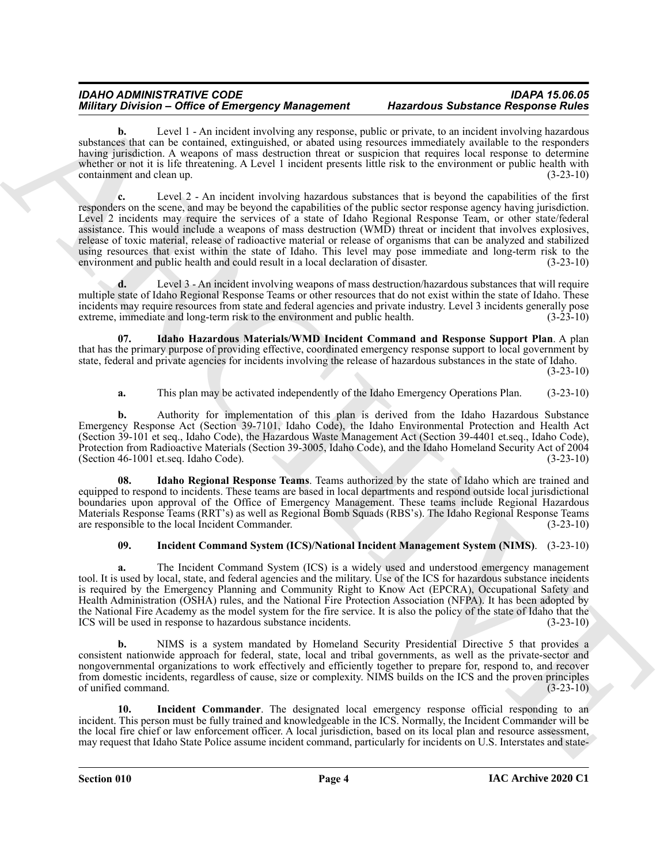#### *IDAHO ADMINISTRATIVE CODE IDAPA 15.06.05 Military Division – Office of Emergency Management*

Level 1 - An incident involving any response, public or private, to an incident involving hazardous substances that can be contained, extinguished, or abated using resources immediately available to the responders having jurisdiction. A weapons of mass destruction threat or suspicion that requires local response to determine whether or not it is life threatening. A Level 1 incident presents little risk to the environment or public health with containment and clean up. (3-23-10)

Miniary Density - Office of Enteropy of Assume the material and the state and state and state and state and state and state and state and state and state and state and state and state and state and state and state and sta **c.** Level 2 - An incident involving hazardous substances that is beyond the capabilities of the first responders on the scene, and may be beyond the capabilities of the public sector response agency having jurisdiction. Level 2 incidents may require the services of a state of Idaho Regional Response Team, or other state/federal assistance. This would include a weapons of mass destruction (WMD) threat or incident that involves explosives, release of toxic material, release of radioactive material or release of organisms that can be analyzed and stabilized using resources that exist within the state of Idaho. This level may pose immediate and long-term risk to the environment and public health and could result in a local declaration of disaster. (3-23-10) environment and public health and could result in a local declaration of disaster.

**d.** Level 3 - An incident involving weapons of mass destruction/hazardous substances that will require multiple state of Idaho Regional Response Teams or other resources that do not exist within the state of Idaho. These incidents may require resources from state and federal agencies and private industry. Level 3 incidents generally pose extreme, immediate and long-term risk to the environment and public health. (3-23-10)

**07. Idaho Hazardous Materials/WMD Incident Command and Response Support Plan**. A plan that has the primary purpose of providing effective, coordinated emergency response support to local government by state, federal and private agencies for incidents involving the release of hazardous substances in the state of Idaho. (3-23-10)

#### <span id="page-3-0"></span>**a.** This plan may be activated independently of the Idaho Emergency Operations Plan. (3-23-10)

**b.** Authority for implementation of this plan is derived from the Idaho Hazardous Substance Emergency Response Act (Section 39-7101, Idaho Code), the Idaho Environmental Protection and Health Act (Section 39-101 et seq., Idaho Code), the Hazardous Waste Management Act (Section 39-4401 et.seq., Idaho Code), Protection from Radioactive Materials (Section 39-3005, Idaho Code), and the Idaho Homeland Security Act of 2004 (Section  $46-1001$  et.seq. Idaho Code).

<span id="page-3-1"></span>**08. Idaho Regional Response Teams**. Teams authorized by the state of Idaho which are trained and equipped to respond to incidents. These teams are based in local departments and respond outside local jurisdictional boundaries upon approval of the Office of Emergency Management. These teams include Regional Hazardous Materials Response Teams (RRT's) as well as Regional Bomb Squads (RBS's). The Idaho Regional Response Teams are responsible to the local Incident Commander. (3-23-10)

#### <span id="page-3-2"></span>**09. Incident Command System (ICS)/National Incident Management System (NIMS)**. (3-23-10)

**a.** The Incident Command System (ICS) is a widely used and understood emergency management tool. It is used by local, state, and federal agencies and the military. Use of the ICS for hazardous substance incidents is required by the Emergency Planning and Community Right to Know Act (EPCRA), Occupational Safety and Health Administration (OSHA) rules, and the National Fire Protection Association (NFPA). It has been adopted by the National Fire Academy as the model system for the fire service. It is also the policy of the state of Idaho that the ICS will be used in response to hazardous substance incidents. (3-23-10) ICS will be used in response to hazardous substance incidents.

**b.** NIMS is a system mandated by Homeland Security Presidential Directive 5 that provides a consistent nationwide approach for federal, state, local and tribal governments, as well as the private-sector and nongovernmental organizations to work effectively and efficiently together to prepare for, respond to, and recover from domestic incidents, regardless of cause, size or complexity. NIMS builds on the ICS and the proven principles of unified command. (3-23-10)

<span id="page-3-3"></span>**10. Incident Commander**. The designated local emergency response official responding to an incident. This person must be fully trained and knowledgeable in the ICS. Normally, the Incident Commander will be the local fire chief or law enforcement officer. A local jurisdiction, based on its local plan and resource assessment, may request that Idaho State Police assume incident command, particularly for incidents on U.S. Interstates and state-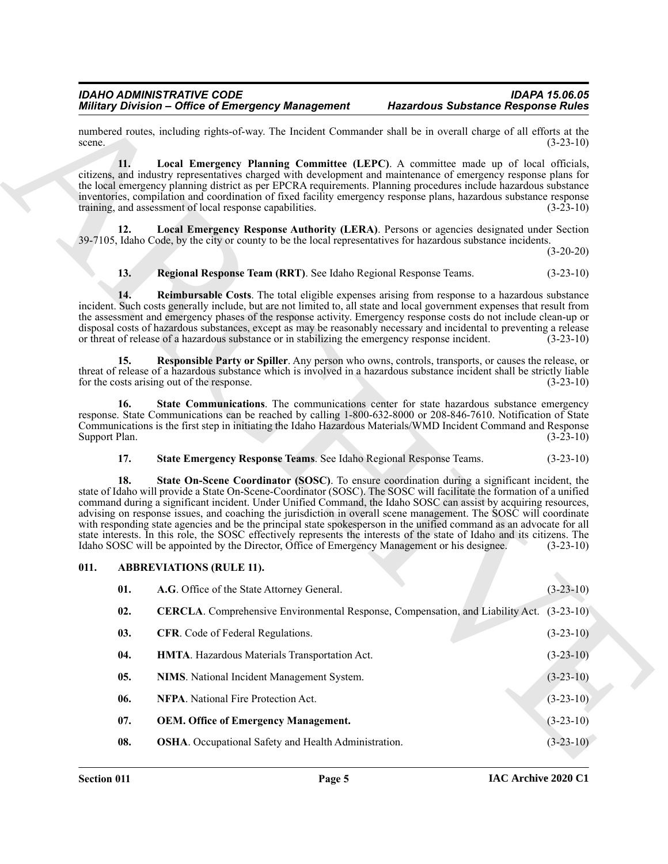#### <span id="page-4-9"></span>*IDAHO ADMINISTRATIVE CODE IDAPA 15.06.05 Military Division – Office of Emergency Management*

#### <span id="page-4-13"></span><span id="page-4-12"></span><span id="page-4-11"></span><span id="page-4-10"></span>**13. Regional Response Team (RRT)**. See Idaho Regional Response Teams. (3-23-10)

#### <span id="page-4-16"></span><span id="page-4-15"></span><span id="page-4-14"></span>**17. State Emergency Response Teams**. See Idaho Regional Response Teams. (3-23-10)

#### <span id="page-4-17"></span><span id="page-4-8"></span><span id="page-4-7"></span><span id="page-4-6"></span><span id="page-4-5"></span><span id="page-4-4"></span><span id="page-4-3"></span><span id="page-4-2"></span><span id="page-4-1"></span><span id="page-4-0"></span>**011. ABBREVIATIONS (RULE 11).**

|                      | <b>Military Division - Office of Emergency Management</b>                                                                                                                                                                                                                                                                                                                                                                                                                                                                                                                                                                                                                                                                                                                                                        | <b>Hazardous Substance Response Rules</b> |
|----------------------|------------------------------------------------------------------------------------------------------------------------------------------------------------------------------------------------------------------------------------------------------------------------------------------------------------------------------------------------------------------------------------------------------------------------------------------------------------------------------------------------------------------------------------------------------------------------------------------------------------------------------------------------------------------------------------------------------------------------------------------------------------------------------------------------------------------|-------------------------------------------|
| scene.               | numbered routes, including rights-of-way. The Incident Commander shall be in overall charge of all efforts at the                                                                                                                                                                                                                                                                                                                                                                                                                                                                                                                                                                                                                                                                                                | $(3-23-10)$                               |
| 11.                  | Local Emergency Planning Committee (LEPC). A committee made up of local officials,<br>citizens, and industry representatives charged with development and maintenance of emergency response plans for<br>the local emergency planning district as per EPCRA requirements. Planning procedures include hazardous substance<br>inventories, compilation and coordination of fixed facility emergency response plans, hazardous substance response<br>training, and assessment of local response capabilities.                                                                                                                                                                                                                                                                                                      | $(3-23-10)$                               |
| 12.                  | <b>Local Emergency Response Authority (LERA).</b> Persons or agencies designated under Section<br>39-7105, Idaho Code, by the city or county to be the local representatives for hazardous substance incidents.                                                                                                                                                                                                                                                                                                                                                                                                                                                                                                                                                                                                  | $(3-20-20)$                               |
| 13.                  | Regional Response Team (RRT). See Idaho Regional Response Teams.                                                                                                                                                                                                                                                                                                                                                                                                                                                                                                                                                                                                                                                                                                                                                 | $(3-23-10)$                               |
| 14.                  | <b>Reimbursable Costs</b> . The total eligible expenses arising from response to a hazardous substance<br>incident. Such costs generally include, but are not limited to, all state and local government expenses that result from<br>the assessment and emergency phases of the response activity. Emergency response costs do not include clean-up or<br>disposal costs of hazardous substances, except as may be reasonably necessary and incidental to preventing a release<br>or threat of release of a hazardous substance or in stabilizing the emergency response incident.                                                                                                                                                                                                                              | $(3-23-10)$                               |
| 15.                  | Responsible Party or Spiller. Any person who owns, controls, transports, or causes the release, or<br>threat of release of a hazardous substance which is involved in a hazardous substance incident shall be strictly liable<br>for the costs arising out of the response.                                                                                                                                                                                                                                                                                                                                                                                                                                                                                                                                      | $(3-23-10)$                               |
| 16.<br>Support Plan. | State Communications. The communications center for state hazardous substance emergency<br>response. State Communications can be reached by calling 1-800-632-8000 or 208-846-7610. Notification of State<br>Communications is the first step in initiating the Idaho Hazardous Materials/WMD Incident Command and Response                                                                                                                                                                                                                                                                                                                                                                                                                                                                                      | $(3-23-10)$                               |
| 17.                  | State Emergency Response Teams. See Idaho Regional Response Teams.                                                                                                                                                                                                                                                                                                                                                                                                                                                                                                                                                                                                                                                                                                                                               | $(3-23-10)$                               |
| 18.                  | State On-Scene Coordinator (SOSC). To ensure coordination during a significant incident, the<br>state of Idaho will provide a State On-Scene-Coordinator (SOSC). The SOSC will facilitate the formation of a unified<br>command during a significant incident. Under Unified Command, the Idaho SOSC can assist by acquiring resources,<br>advising on response issues, and coaching the jurisdiction in overall scene management. The SOSC will coordinate<br>with responding state agencies and be the principal state spokesperson in the unified command as an advocate for all<br>state interests. In this role, the SOSC effectively represents the interests of the state of Idaho and its citizens. The<br>Idaho SOSC will be appointed by the Director, Office of Emergency Management or his designee. | $(3-23-10)$                               |
| 011.                 | <b>ABBREVIATIONS (RULE 11).</b>                                                                                                                                                                                                                                                                                                                                                                                                                                                                                                                                                                                                                                                                                                                                                                                  |                                           |
| 01.                  | A.G. Office of the State Attorney General.                                                                                                                                                                                                                                                                                                                                                                                                                                                                                                                                                                                                                                                                                                                                                                       | $(3-23-10)$                               |
| 02.                  | CERCLA. Comprehensive Environmental Response, Compensation, and Liability Act.                                                                                                                                                                                                                                                                                                                                                                                                                                                                                                                                                                                                                                                                                                                                   | $(3-23-10)$                               |
| 03.                  | CFR. Code of Federal Regulations.                                                                                                                                                                                                                                                                                                                                                                                                                                                                                                                                                                                                                                                                                                                                                                                | $(3-23-10)$                               |
| 04.                  | HMTA. Hazardous Materials Transportation Act.                                                                                                                                                                                                                                                                                                                                                                                                                                                                                                                                                                                                                                                                                                                                                                    | $(3-23-10)$                               |
| 05.                  | NIMS. National Incident Management System.                                                                                                                                                                                                                                                                                                                                                                                                                                                                                                                                                                                                                                                                                                                                                                       | $(3-23-10)$                               |
| 06.                  | NFPA. National Fire Protection Act.                                                                                                                                                                                                                                                                                                                                                                                                                                                                                                                                                                                                                                                                                                                                                                              | $(3-23-10)$                               |
|                      |                                                                                                                                                                                                                                                                                                                                                                                                                                                                                                                                                                                                                                                                                                                                                                                                                  |                                           |
| 07.                  | <b>OEM.</b> Office of Emergency Management.                                                                                                                                                                                                                                                                                                                                                                                                                                                                                                                                                                                                                                                                                                                                                                      | $(3-23-10)$                               |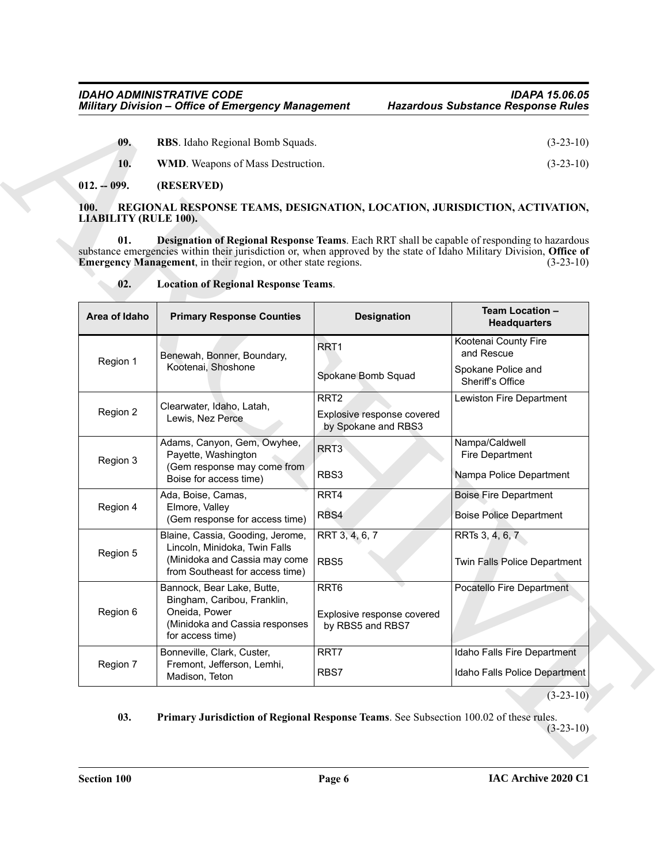<span id="page-5-3"></span><span id="page-5-2"></span>

| 09. | <b>RBS.</b> Idaho Regional Bomb Squads.  | $(3-23-10)$ |
|-----|------------------------------------------|-------------|
| 10. | <b>WMD.</b> Weapons of Mass Destruction. | $(3-23-10)$ |

#### <span id="page-5-0"></span>**012. -- 099. (RESERVED)**

#### <span id="page-5-7"></span><span id="page-5-6"></span><span id="page-5-5"></span><span id="page-5-4"></span><span id="page-5-1"></span>**100. REGIONAL RESPONSE TEAMS, DESIGNATION, LOCATION, JURISDICTION, ACTIVATION, LIABILITY (RULE 100).**

| $012. - 099.$<br>(RESERVED)                                                                                                                                                                                              |                                                                |
|--------------------------------------------------------------------------------------------------------------------------------------------------------------------------------------------------------------------------|----------------------------------------------------------------|
| 100.<br>REGIONAL RESPONSE TEAMS, DESIGNATION, LOCATION, JURISDICTION, ACTIVATION,<br><b>LIABILITY (RULE 100).</b><br>01.<br>Designation of Regional Response Teams. Each RRT shall be capable of responding to hazardous |                                                                |
| substance emergencies within their jurisdiction or, when approved by the state of Idaho Military Division, Office of<br>Emergency Management, in their region, or other state regions.                                   | $(3-23-10)$                                                    |
| 02.                                                                                                                                                                                                                      |                                                                |
| Area of Idaho<br><b>Primary Response Counties</b><br><b>Designation</b>                                                                                                                                                  | <b>Headquarters</b>                                            |
| RRT1<br>Benewah, Bonner, Boundary,<br>Region 1                                                                                                                                                                           | Kootenai County Fire<br>and Rescue                             |
| Spokane Bomb Squad                                                                                                                                                                                                       | Spokane Police and<br>Sheriff's Office                         |
| RRT <sub>2</sub><br>Clearwater, Idaho, Latah,<br>Region 2<br>Explosive response covered<br>Lewis, Nez Perce<br>by Spokane and RBS3                                                                                       | Lewiston Fire Department                                       |
| Adams, Canyon, Gem, Owyhee,<br>RRT <sub>3</sub><br>Payette, Washington<br>Region 3<br>(Gem response may come from                                                                                                        | Nampa/Caldwell<br>Fire Department                              |
| Ada, Boise, Camas,<br>RRT4<br>Elmore, Valley<br>Region 4<br>RBS4                                                                                                                                                         | <b>Boise Fire Department</b><br><b>Boise Police Department</b> |
| RRT 3, 4, 6, 7<br>Blaine, Cassia, Gooding, Jerome,<br>Lincoln, Minidoka, Twin Falls<br>Region 5<br>(Minidoka and Cassia may come<br>RBS5<br>from Southeast for access time)                                              | RRTs 3, 4, 6, 7<br>Twin Falls Police Department                |
| RRT <sub>6</sub><br>Bannock, Bear Lake, Butte,<br>Bingham, Caribou, Franklin,<br>Oneida, Power<br>Region 6<br>Explosive response covered<br>(Minidoka and Cassia responses<br>by RBS5 and RBS7<br>for access time)       | Pocatello Fire Department                                      |
| Bonneville, Clark, Custer,<br>RRT7<br>Region 7<br>Fremont, Jefferson, Lemhi,<br>RBS7                                                                                                                                     | Idaho Falls Fire Department<br>Idaho Falls Police Department   |
| <b>Location of Regional Response Teams.</b><br>Kootenai, Shoshone<br>RBS3<br>Boise for access time)<br>(Gem response for access time)<br>Madison, Teton                                                                  | <b>Team Location -</b><br>Nampa Police Department              |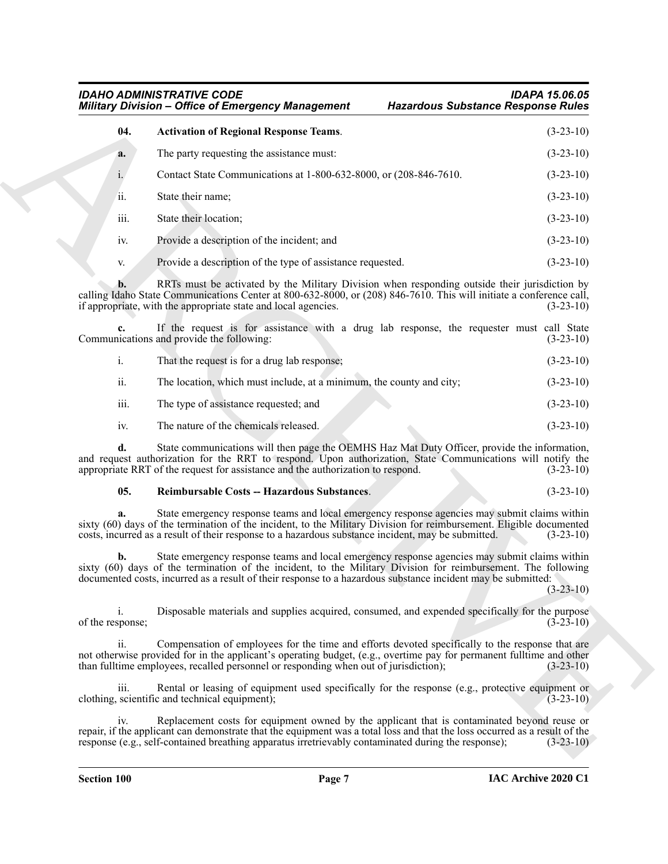#### <span id="page-6-0"></span>*IDAHO ADMINISTRATIVE CODE IDAPA 15.06.05 Military Division – Office of Emergency Management*

|                        | <b>Military Division - Office of Emergency Management</b><br><b>Hazardous Substance Response Rules</b>                                                                                                                                                                                                                         |             |
|------------------------|--------------------------------------------------------------------------------------------------------------------------------------------------------------------------------------------------------------------------------------------------------------------------------------------------------------------------------|-------------|
| 04.                    | <b>Activation of Regional Response Teams.</b>                                                                                                                                                                                                                                                                                  | $(3-23-10)$ |
| a.                     | The party requesting the assistance must:                                                                                                                                                                                                                                                                                      | $(3-23-10)$ |
| i.                     | Contact State Communications at 1-800-632-8000, or (208-846-7610.                                                                                                                                                                                                                                                              | $(3-23-10)$ |
| ii.                    | State their name;                                                                                                                                                                                                                                                                                                              | $(3-23-10)$ |
| iii.                   | State their location;                                                                                                                                                                                                                                                                                                          | $(3-23-10)$ |
| iv.                    | Provide a description of the incident; and                                                                                                                                                                                                                                                                                     | $(3-23-10)$ |
| V.                     | Provide a description of the type of assistance requested.                                                                                                                                                                                                                                                                     | $(3-23-10)$ |
| b.                     | RRTs must be activated by the Military Division when responding outside their jurisdiction by<br>calling Idaho State Communications Center at 800-632-8000, or (208) 846-7610. This will initiate a conference call,<br>if appropriate, with the appropriate state and local agencies.                                         | $(3-23-10)$ |
|                        | If the request is for assistance with a drug lab response, the requester must call State<br>Communications and provide the following:                                                                                                                                                                                          | $(3-23-10)$ |
| i.                     | That the request is for a drug lab response;                                                                                                                                                                                                                                                                                   | $(3-23-10)$ |
| ii.                    | The location, which must include, at a minimum, the county and city;                                                                                                                                                                                                                                                           | $(3-23-10)$ |
| iii.                   | The type of assistance requested; and                                                                                                                                                                                                                                                                                          | $(3-23-10)$ |
| iv.                    | The nature of the chemicals released.                                                                                                                                                                                                                                                                                          | $(3-23-10)$ |
| d.                     | State communications will then page the OEMHS Haz Mat Duty Officer, provide the information,<br>and request authorization for the RRT to respond. Upon authorization, State Communications will notify the<br>appropriate RRT of the request for assistance and the authorization to respond.                                  | $(3-23-10)$ |
| 05.                    | Reimbursable Costs -- Hazardous Substances.                                                                                                                                                                                                                                                                                    | $(3-23-10)$ |
| a.                     | State emergency response teams and local emergency response agencies may submit claims within<br>sixty (60) days of the termination of the incident, to the Military Division for reimbursement. Eligible documented<br>costs, incurred as a result of their response to a hazardous substance incident, may be submitted.     | $(3-23-10)$ |
| b.                     | State emergency response teams and local emergency response agencies may submit claims within<br>sixty (60) days of the termination of the incident, to the Military Division for reimbursement. The following<br>documented costs, incurred as a result of their response to a hazardous substance incident may be submitted: | $(3-23-10)$ |
| 1.<br>of the response; | Disposable materials and supplies acquired, consumed, and expended specifically for the purpose                                                                                                                                                                                                                                | $(3-23-10)$ |
| ii.                    | Compensation of employees for the time and efforts devoted specifically to the response that are<br>not otherwise provided for in the applicant's operating budget, (e.g., overtime pay for permanent fulltime and other<br>than fulltime employees, recalled personnel or responding when out of jurisdiction);               | $(3-23-10)$ |
| iii.                   | Rental or leasing of equipment used specifically for the response (e.g., protective equipment or<br>clothing, scientific and technical equipment);                                                                                                                                                                             | $(3-23-10)$ |
|                        | Replacement costs for equipment owned by the applicant that is contaminated beyond reuse or                                                                                                                                                                                                                                    |             |

|      | That the request is for a drug lab response;                         | $(3-23-10)$ |
|------|----------------------------------------------------------------------|-------------|
| ii.  | The location, which must include, at a minimum, the county and city; | $(3-23-10)$ |
| iii. | The type of assistance requested; and                                | $(3-23-10)$ |

#### <span id="page-6-1"></span>**05. Reimbursable Costs -- Hazardous Substances**. (3-23-10)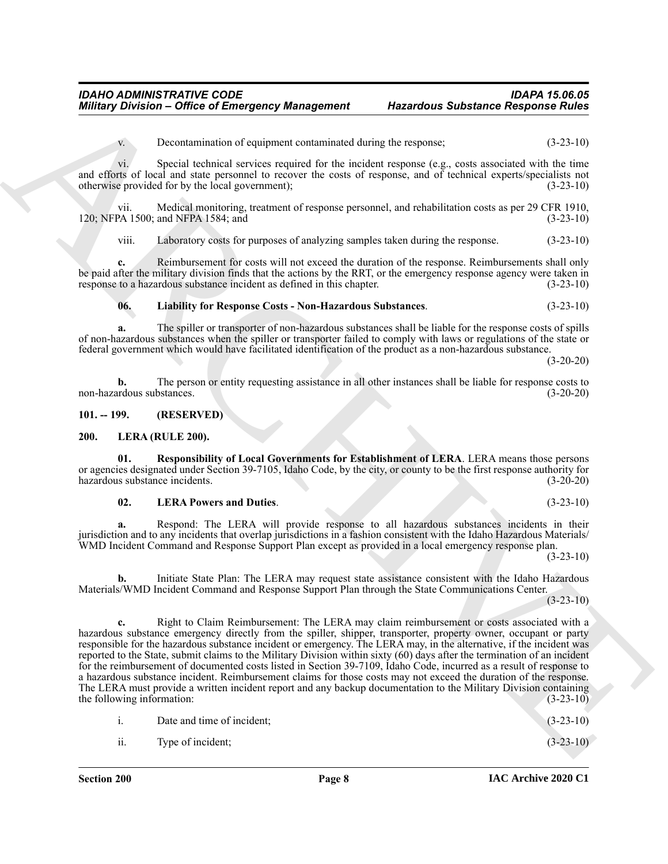v. Decontamination of equipment contaminated during the response; (3-23-10)

vi. Special technical services required for the incident response (e.g., costs associated with the time and efforts of local and state personnel to recover the costs of response, and of technical experts/specialists not otherwise provided for by the local government); (3-23-10)

vii. Medical monitoring, treatment of response personnel, and rehabilitation costs as per 29 CFR 1910, 120; NFPA 1500; and NFPA 1584; and (3-23-10)

viii. Laboratory costs for purposes of analyzing samples taken during the response. (3-23-10)

**c.** Reimbursement for costs will not exceed the duration of the response. Reimbursements shall only be paid after the military division finds that the actions by the RRT, or the emergency response agency were taken in response to a hazardous substance incident as defined in this chapter. (3-23-10)

<span id="page-7-5"></span>**06. Liability for Response Costs - Non-Hazardous Substances**. (3-23-10)

**a.** The spiller or transporter of non-hazardous substances shall be liable for the response costs of spills of non-hazardous substances when the spiller or transporter failed to comply with laws or regulations of the state or federal government which would have facilitated identification of the product as a non-hazardous substance.

(3-20-20)

**b.** The person or entity requesting assistance in all other instances shall be liable for response costs to non-hazardous substances. (3-20-20)

<span id="page-7-2"></span><span id="page-7-0"></span>**101. -- 199. (RESERVED)**

#### <span id="page-7-1"></span>**200. LERA (RULE 200).**

**01. Responsibility of Local Governments for Establishment of LERA**. LERA means those persons or agencies designated under Section 39-7105, Idaho Code, by the city, or county to be the first response authority for hazardous substance incidents. (3-20-20)

#### <span id="page-7-4"></span><span id="page-7-3"></span>**02. LERA Powers and Duties**. (3-23-10)

**a.** Respond: The LERA will provide response to all hazardous substances incidents in their jurisdiction and to any incidents that overlap jurisdictions in a fashion consistent with the Idaho Hazardous Materials/ WMD Incident Command and Response Support Plan except as provided in a local emergency response plan.

(3-23-10)

**b.** Initiate State Plan: The LERA may request state assistance consistent with the Idaho Hazardous Materials/WMD Incident Command and Response Support Plan through the State Communications Center.

(3-23-10)

Mitting's Division - Office of Emergency Monagement - Haracteur Substance Response Rules<br>
Development of coupling contained deviation of the space of the space of the space of the space of the space of the space of the sp **c.** Right to Claim Reimbursement: The LERA may claim reimbursement or costs associated with a hazardous substance emergency directly from the spiller, shipper, transporter, property owner, occupant or party responsible for the hazardous substance incident or emergency. The LERA may, in the alternative, if the incident was reported to the State, submit claims to the Military Division within sixty (60) days after the termination of an incident for the reimbursement of documented costs listed in Section 39-7109, Idaho Code, incurred as a result of response to a hazardous substance incident. Reimbursement claims for those costs may not exceed the duration of the response. The LERA must provide a written incident report and any backup documentation to the Military Division containing the following information: (3-23-10)

i. Date and time of incident; (3-23-10)

ii. Type of incident;  $(3-23-10)$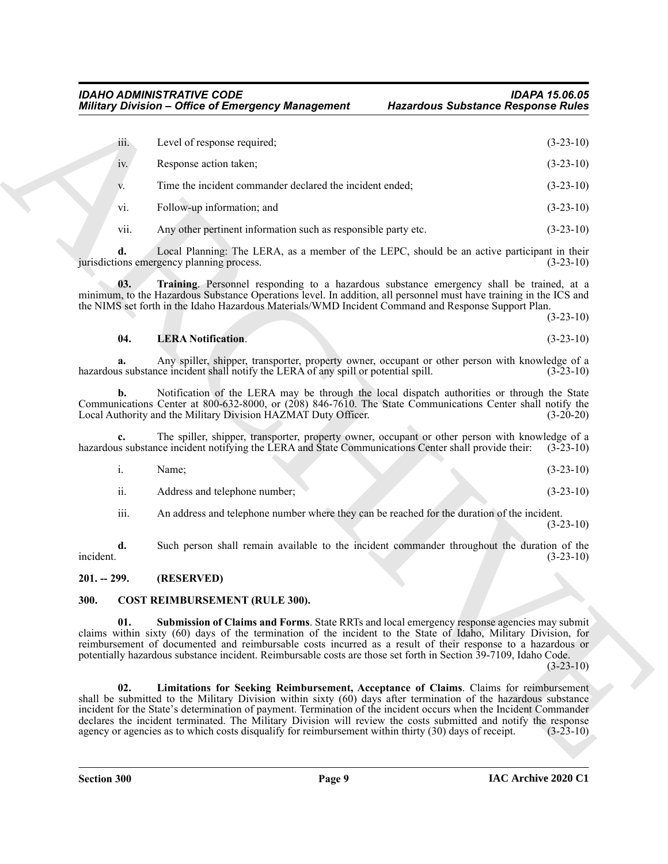| iii.<br>Level of response required;<br>Response action taken;<br>iv.<br>Time the incident commander declared the incident ended;<br>V.<br>Follow-up information; and<br>vi.<br>vii.<br>Any other pertinent information such as responsible party etc.<br>d.<br>Local Planning: The LERA, as a member of the LEPC, should be an active participant in their<br>jurisdictions emergency planning process.<br>Training. Personnel responding to a hazardous substance emergency shall be trained, at a<br>03.<br>minimum, to the Hazardous Substance Operations level. In addition, all personnel must have training in the ICS and<br>the NIMS set forth in the Idaho Hazardous Materials/WMD Incident Command and Response Support Plan.<br>04.<br><b>LERA Notification.</b><br>Any spiller, shipper, transporter, property owner, occupant or other person with knowledge of a<br>a.<br>hazardous substance incident shall notify the LERA of any spill or potential spill.<br>Notification of the LERA may be through the local dispatch authorities or through the State<br>b.<br>Communications Center at 800-632-8000, or (208) 846-7610. The State Communications Center shall notify the<br>Local Authority and the Military Division HAZMAT Duty Officer.<br>The spiller, shipper, transporter, property owner, occupant or other person with knowledge of a<br>c.<br>hazardous substance incident notifying the LERA and State Communications Center shall provide their:<br>i.<br>Name;<br>ii.<br>Address and telephone number;<br>iii.<br>An address and telephone number where they can be reached for the duration of the incident.<br>Such person shall remain available to the incident commander throughout the duration of the<br>d.<br>incident.<br>$201. - 299.$<br>(RESERVED)<br><b>COST REIMBURSEMENT (RULE 300).</b><br>300.<br>01.<br>Submission of Claims and Forms. State RRTs and local emergency response agencies may submit<br>claims within sixty (60) days of the termination of the incident to the State of Idaho, Military Division, for<br>reimbursement of documented and reimbursable costs incurred as a result of their response to a hazardous or<br>potentially hazardous substance incident. Reimbursable costs are those set forth in Section 39-7109, Idaho Code.<br>02.<br>Limitations for Seeking Reimbursement, Acceptance of Claims. Claims for reimbursement<br>shall be submitted to the Military Division within sixty (60) days after termination of the hazardous substance<br>incident for the State's determination of payment. Termination of the incident occurs when the Incident Commander<br>declares the incident terminated. The Military Division will review the costs submitted and notify the response<br>agency or agencies as to which costs disqualify for reimbursement within thirty (30) days of receipt. | <b>Military Division - Office of Emergency Management</b> | <b>Hazardous Substance Response Rules</b> |             |
|----------------------------------------------------------------------------------------------------------------------------------------------------------------------------------------------------------------------------------------------------------------------------------------------------------------------------------------------------------------------------------------------------------------------------------------------------------------------------------------------------------------------------------------------------------------------------------------------------------------------------------------------------------------------------------------------------------------------------------------------------------------------------------------------------------------------------------------------------------------------------------------------------------------------------------------------------------------------------------------------------------------------------------------------------------------------------------------------------------------------------------------------------------------------------------------------------------------------------------------------------------------------------------------------------------------------------------------------------------------------------------------------------------------------------------------------------------------------------------------------------------------------------------------------------------------------------------------------------------------------------------------------------------------------------------------------------------------------------------------------------------------------------------------------------------------------------------------------------------------------------------------------------------------------------------------------------------------------------------------------------------------------------------------------------------------------------------------------------------------------------------------------------------------------------------------------------------------------------------------------------------------------------------------------------------------------------------------------------------------------------------------------------------------------------------------------------------------------------------------------------------------------------------------------------------------------------------------------------------------------------------------------------------------------------------------------------------------------------------------------------------------------------------------------------------------------------------------------------------------------------------|-----------------------------------------------------------|-------------------------------------------|-------------|
|                                                                                                                                                                                                                                                                                                                                                                                                                                                                                                                                                                                                                                                                                                                                                                                                                                                                                                                                                                                                                                                                                                                                                                                                                                                                                                                                                                                                                                                                                                                                                                                                                                                                                                                                                                                                                                                                                                                                                                                                                                                                                                                                                                                                                                                                                                                                                                                                                                                                                                                                                                                                                                                                                                                                                                                                                                                                                  |                                                           |                                           | $(3-23-10)$ |
|                                                                                                                                                                                                                                                                                                                                                                                                                                                                                                                                                                                                                                                                                                                                                                                                                                                                                                                                                                                                                                                                                                                                                                                                                                                                                                                                                                                                                                                                                                                                                                                                                                                                                                                                                                                                                                                                                                                                                                                                                                                                                                                                                                                                                                                                                                                                                                                                                                                                                                                                                                                                                                                                                                                                                                                                                                                                                  |                                                           |                                           | $(3-23-10)$ |
|                                                                                                                                                                                                                                                                                                                                                                                                                                                                                                                                                                                                                                                                                                                                                                                                                                                                                                                                                                                                                                                                                                                                                                                                                                                                                                                                                                                                                                                                                                                                                                                                                                                                                                                                                                                                                                                                                                                                                                                                                                                                                                                                                                                                                                                                                                                                                                                                                                                                                                                                                                                                                                                                                                                                                                                                                                                                                  |                                                           |                                           | $(3-23-10)$ |
|                                                                                                                                                                                                                                                                                                                                                                                                                                                                                                                                                                                                                                                                                                                                                                                                                                                                                                                                                                                                                                                                                                                                                                                                                                                                                                                                                                                                                                                                                                                                                                                                                                                                                                                                                                                                                                                                                                                                                                                                                                                                                                                                                                                                                                                                                                                                                                                                                                                                                                                                                                                                                                                                                                                                                                                                                                                                                  |                                                           |                                           | $(3-23-10)$ |
|                                                                                                                                                                                                                                                                                                                                                                                                                                                                                                                                                                                                                                                                                                                                                                                                                                                                                                                                                                                                                                                                                                                                                                                                                                                                                                                                                                                                                                                                                                                                                                                                                                                                                                                                                                                                                                                                                                                                                                                                                                                                                                                                                                                                                                                                                                                                                                                                                                                                                                                                                                                                                                                                                                                                                                                                                                                                                  |                                                           |                                           | $(3-23-10)$ |
|                                                                                                                                                                                                                                                                                                                                                                                                                                                                                                                                                                                                                                                                                                                                                                                                                                                                                                                                                                                                                                                                                                                                                                                                                                                                                                                                                                                                                                                                                                                                                                                                                                                                                                                                                                                                                                                                                                                                                                                                                                                                                                                                                                                                                                                                                                                                                                                                                                                                                                                                                                                                                                                                                                                                                                                                                                                                                  |                                                           |                                           | $(3-23-10)$ |
|                                                                                                                                                                                                                                                                                                                                                                                                                                                                                                                                                                                                                                                                                                                                                                                                                                                                                                                                                                                                                                                                                                                                                                                                                                                                                                                                                                                                                                                                                                                                                                                                                                                                                                                                                                                                                                                                                                                                                                                                                                                                                                                                                                                                                                                                                                                                                                                                                                                                                                                                                                                                                                                                                                                                                                                                                                                                                  |                                                           |                                           | $(3-23-10)$ |
|                                                                                                                                                                                                                                                                                                                                                                                                                                                                                                                                                                                                                                                                                                                                                                                                                                                                                                                                                                                                                                                                                                                                                                                                                                                                                                                                                                                                                                                                                                                                                                                                                                                                                                                                                                                                                                                                                                                                                                                                                                                                                                                                                                                                                                                                                                                                                                                                                                                                                                                                                                                                                                                                                                                                                                                                                                                                                  |                                                           |                                           | $(3-23-10)$ |
|                                                                                                                                                                                                                                                                                                                                                                                                                                                                                                                                                                                                                                                                                                                                                                                                                                                                                                                                                                                                                                                                                                                                                                                                                                                                                                                                                                                                                                                                                                                                                                                                                                                                                                                                                                                                                                                                                                                                                                                                                                                                                                                                                                                                                                                                                                                                                                                                                                                                                                                                                                                                                                                                                                                                                                                                                                                                                  |                                                           |                                           | $(3-23-10)$ |
|                                                                                                                                                                                                                                                                                                                                                                                                                                                                                                                                                                                                                                                                                                                                                                                                                                                                                                                                                                                                                                                                                                                                                                                                                                                                                                                                                                                                                                                                                                                                                                                                                                                                                                                                                                                                                                                                                                                                                                                                                                                                                                                                                                                                                                                                                                                                                                                                                                                                                                                                                                                                                                                                                                                                                                                                                                                                                  |                                                           |                                           | $(3-20-20)$ |
|                                                                                                                                                                                                                                                                                                                                                                                                                                                                                                                                                                                                                                                                                                                                                                                                                                                                                                                                                                                                                                                                                                                                                                                                                                                                                                                                                                                                                                                                                                                                                                                                                                                                                                                                                                                                                                                                                                                                                                                                                                                                                                                                                                                                                                                                                                                                                                                                                                                                                                                                                                                                                                                                                                                                                                                                                                                                                  |                                                           |                                           | $(3-23-10)$ |
|                                                                                                                                                                                                                                                                                                                                                                                                                                                                                                                                                                                                                                                                                                                                                                                                                                                                                                                                                                                                                                                                                                                                                                                                                                                                                                                                                                                                                                                                                                                                                                                                                                                                                                                                                                                                                                                                                                                                                                                                                                                                                                                                                                                                                                                                                                                                                                                                                                                                                                                                                                                                                                                                                                                                                                                                                                                                                  |                                                           |                                           | $(3-23-10)$ |
|                                                                                                                                                                                                                                                                                                                                                                                                                                                                                                                                                                                                                                                                                                                                                                                                                                                                                                                                                                                                                                                                                                                                                                                                                                                                                                                                                                                                                                                                                                                                                                                                                                                                                                                                                                                                                                                                                                                                                                                                                                                                                                                                                                                                                                                                                                                                                                                                                                                                                                                                                                                                                                                                                                                                                                                                                                                                                  |                                                           |                                           | $(3-23-10)$ |
|                                                                                                                                                                                                                                                                                                                                                                                                                                                                                                                                                                                                                                                                                                                                                                                                                                                                                                                                                                                                                                                                                                                                                                                                                                                                                                                                                                                                                                                                                                                                                                                                                                                                                                                                                                                                                                                                                                                                                                                                                                                                                                                                                                                                                                                                                                                                                                                                                                                                                                                                                                                                                                                                                                                                                                                                                                                                                  |                                                           |                                           | $(3-23-10)$ |
|                                                                                                                                                                                                                                                                                                                                                                                                                                                                                                                                                                                                                                                                                                                                                                                                                                                                                                                                                                                                                                                                                                                                                                                                                                                                                                                                                                                                                                                                                                                                                                                                                                                                                                                                                                                                                                                                                                                                                                                                                                                                                                                                                                                                                                                                                                                                                                                                                                                                                                                                                                                                                                                                                                                                                                                                                                                                                  |                                                           |                                           | $(3-23-10)$ |
|                                                                                                                                                                                                                                                                                                                                                                                                                                                                                                                                                                                                                                                                                                                                                                                                                                                                                                                                                                                                                                                                                                                                                                                                                                                                                                                                                                                                                                                                                                                                                                                                                                                                                                                                                                                                                                                                                                                                                                                                                                                                                                                                                                                                                                                                                                                                                                                                                                                                                                                                                                                                                                                                                                                                                                                                                                                                                  |                                                           |                                           |             |
|                                                                                                                                                                                                                                                                                                                                                                                                                                                                                                                                                                                                                                                                                                                                                                                                                                                                                                                                                                                                                                                                                                                                                                                                                                                                                                                                                                                                                                                                                                                                                                                                                                                                                                                                                                                                                                                                                                                                                                                                                                                                                                                                                                                                                                                                                                                                                                                                                                                                                                                                                                                                                                                                                                                                                                                                                                                                                  |                                                           |                                           |             |
|                                                                                                                                                                                                                                                                                                                                                                                                                                                                                                                                                                                                                                                                                                                                                                                                                                                                                                                                                                                                                                                                                                                                                                                                                                                                                                                                                                                                                                                                                                                                                                                                                                                                                                                                                                                                                                                                                                                                                                                                                                                                                                                                                                                                                                                                                                                                                                                                                                                                                                                                                                                                                                                                                                                                                                                                                                                                                  |                                                           |                                           | $(3-23-10)$ |
|                                                                                                                                                                                                                                                                                                                                                                                                                                                                                                                                                                                                                                                                                                                                                                                                                                                                                                                                                                                                                                                                                                                                                                                                                                                                                                                                                                                                                                                                                                                                                                                                                                                                                                                                                                                                                                                                                                                                                                                                                                                                                                                                                                                                                                                                                                                                                                                                                                                                                                                                                                                                                                                                                                                                                                                                                                                                                  |                                                           |                                           | $(3-23-10)$ |

#### <span id="page-8-6"></span><span id="page-8-5"></span>**04. LERA Notification**. (3-23-10)

|     | Name:                         |  |  | $(3-23-10)$ |
|-----|-------------------------------|--|--|-------------|
| ii. | Address and telephone number: |  |  | $(3-23-10)$ |

#### <span id="page-8-0"></span>**201. -- 299. (RESERVED)**

#### <span id="page-8-4"></span><span id="page-8-3"></span><span id="page-8-2"></span><span id="page-8-1"></span>**300. COST REIMBURSEMENT (RULE 300).**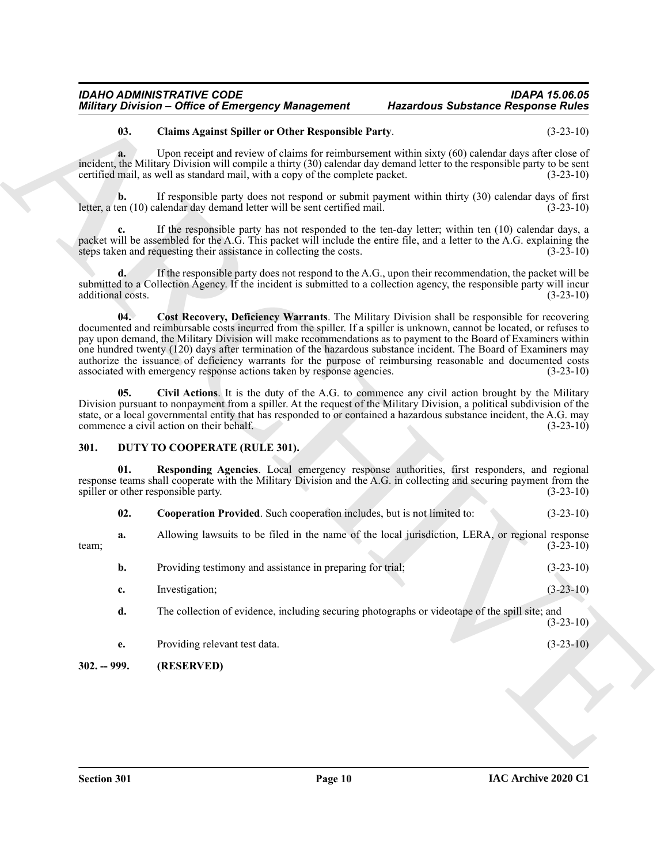#### <span id="page-9-3"></span>**03. Claims Against Spiller or Other Responsible Party**. (3-23-10)

#### <span id="page-9-5"></span><span id="page-9-4"></span><span id="page-9-2"></span><span id="page-9-0"></span>**301. DUTY TO COOPERATE (RULE 301).**

<span id="page-9-7"></span><span id="page-9-6"></span>

| 02. | <b>Cooperation Provided.</b> Such cooperation includes, but is not limited to: | $(3-23-10)$ |
|-----|--------------------------------------------------------------------------------|-------------|
|-----|--------------------------------------------------------------------------------|-------------|

|                                     | <b>Military Division - Office of Emergency Management</b>                                                                                                                                                                                                                                                                                                                                                                                                                                                                                                                                                                                               | <b>Hazardous Substance Response Rules</b> |
|-------------------------------------|---------------------------------------------------------------------------------------------------------------------------------------------------------------------------------------------------------------------------------------------------------------------------------------------------------------------------------------------------------------------------------------------------------------------------------------------------------------------------------------------------------------------------------------------------------------------------------------------------------------------------------------------------------|-------------------------------------------|
| 03.                                 | <b>Claims Against Spiller or Other Responsible Party.</b>                                                                                                                                                                                                                                                                                                                                                                                                                                                                                                                                                                                               | $(3-23-10)$                               |
| a.                                  | Upon receipt and review of claims for reimbursement within sixty (60) calendar days after close of<br>incident, the Military Division will compile a thirty (30) calendar day demand letter to the responsible party to be sent<br>certified mail, as well as standard mail, with a copy of the complete packet.                                                                                                                                                                                                                                                                                                                                        | $(3-23-10)$                               |
| $\mathbf{b}$ .                      | If responsible party does not respond or submit payment within thirty (30) calendar days of first<br>letter, a ten (10) calendar day demand letter will be sent certified mail.                                                                                                                                                                                                                                                                                                                                                                                                                                                                         | $(3-23-10)$                               |
|                                     | If the responsible party has not responded to the ten-day letter; within ten (10) calendar days, a<br>packet will be assembled for the A.G. This packet will include the entire file, and a letter to the A.G. explaining the<br>steps taken and requesting their assistance in collecting the costs.                                                                                                                                                                                                                                                                                                                                                   | $(3-23-10)$                               |
| $\mathbf{d}$ .<br>additional costs. | If the responsible party does not respond to the A.G., upon their recommendation, the packet will be<br>submitted to a Collection Agency. If the incident is submitted to a collection agency, the responsible party will incur                                                                                                                                                                                                                                                                                                                                                                                                                         | $(3-23-10)$                               |
| 04.                                 | Cost Recovery, Deficiency Warrants. The Military Division shall be responsible for recovering<br>documented and reimbursable costs incurred from the spiller. If a spiller is unknown, cannot be located, or refuses to<br>pay upon demand, the Military Division will make recommendations as to payment to the Board of Examiners within<br>one hundred twenty (120) days after termination of the hazardous substance incident. The Board of Examiners may<br>authorize the issuance of deficiency warrants for the purpose of reimbursing reasonable and documented costs<br>associated with emergency response actions taken by response agencies. | $(3-23-10)$                               |
| 05.                                 | Civil Actions. It is the duty of the A.G. to commence any civil action brought by the Military<br>Division pursuant to nonpayment from a spiller. At the request of the Military Division, a political subdivision of the<br>state, or a local governmental entity that has responded to or contained a hazardous substance incident, the A.G. may<br>commence a civil action on their behalf.                                                                                                                                                                                                                                                          | $(3-23-10)$                               |
| 301.                                | DUTY TO COOPERATE (RULE 301).                                                                                                                                                                                                                                                                                                                                                                                                                                                                                                                                                                                                                           |                                           |
| 01.                                 | Responding Agencies. Local emergency response authorities, first responders, and regional<br>response teams shall cooperate with the Military Division and the A.G. in collecting and securing payment from the<br>spiller or other responsible party.                                                                                                                                                                                                                                                                                                                                                                                                  | $(3-23-10)$                               |
| 02.                                 | Cooperation Provided. Such cooperation includes, but is not limited to:                                                                                                                                                                                                                                                                                                                                                                                                                                                                                                                                                                                 | $(3-23-10)$                               |
| a.<br>team;                         | Allowing lawsuits to be filed in the name of the local jurisdiction, LERA, or regional response                                                                                                                                                                                                                                                                                                                                                                                                                                                                                                                                                         | $(3-23-10)$                               |
| b.                                  | Providing testimony and assistance in preparing for trial;                                                                                                                                                                                                                                                                                                                                                                                                                                                                                                                                                                                              | $(3-23-10)$                               |
| c.                                  | Investigation;                                                                                                                                                                                                                                                                                                                                                                                                                                                                                                                                                                                                                                          | $(3-23-10)$                               |
| d.                                  | The collection of evidence, including securing photographs or videotape of the spill site; and                                                                                                                                                                                                                                                                                                                                                                                                                                                                                                                                                          | $(3-23-10)$                               |
| e.                                  | Providing relevant test data.                                                                                                                                                                                                                                                                                                                                                                                                                                                                                                                                                                                                                           | $(3-23-10)$                               |
| $302. - 999.$                       | (RESERVED)                                                                                                                                                                                                                                                                                                                                                                                                                                                                                                                                                                                                                                              |                                           |
|                                     |                                                                                                                                                                                                                                                                                                                                                                                                                                                                                                                                                                                                                                                         |                                           |
|                                     |                                                                                                                                                                                                                                                                                                                                                                                                                                                                                                                                                                                                                                                         |                                           |
|                                     |                                                                                                                                                                                                                                                                                                                                                                                                                                                                                                                                                                                                                                                         |                                           |

- **e.** Providing relevant test data. (3-23-10)
- <span id="page-9-1"></span>**302. -- 999. (RESERVED)**